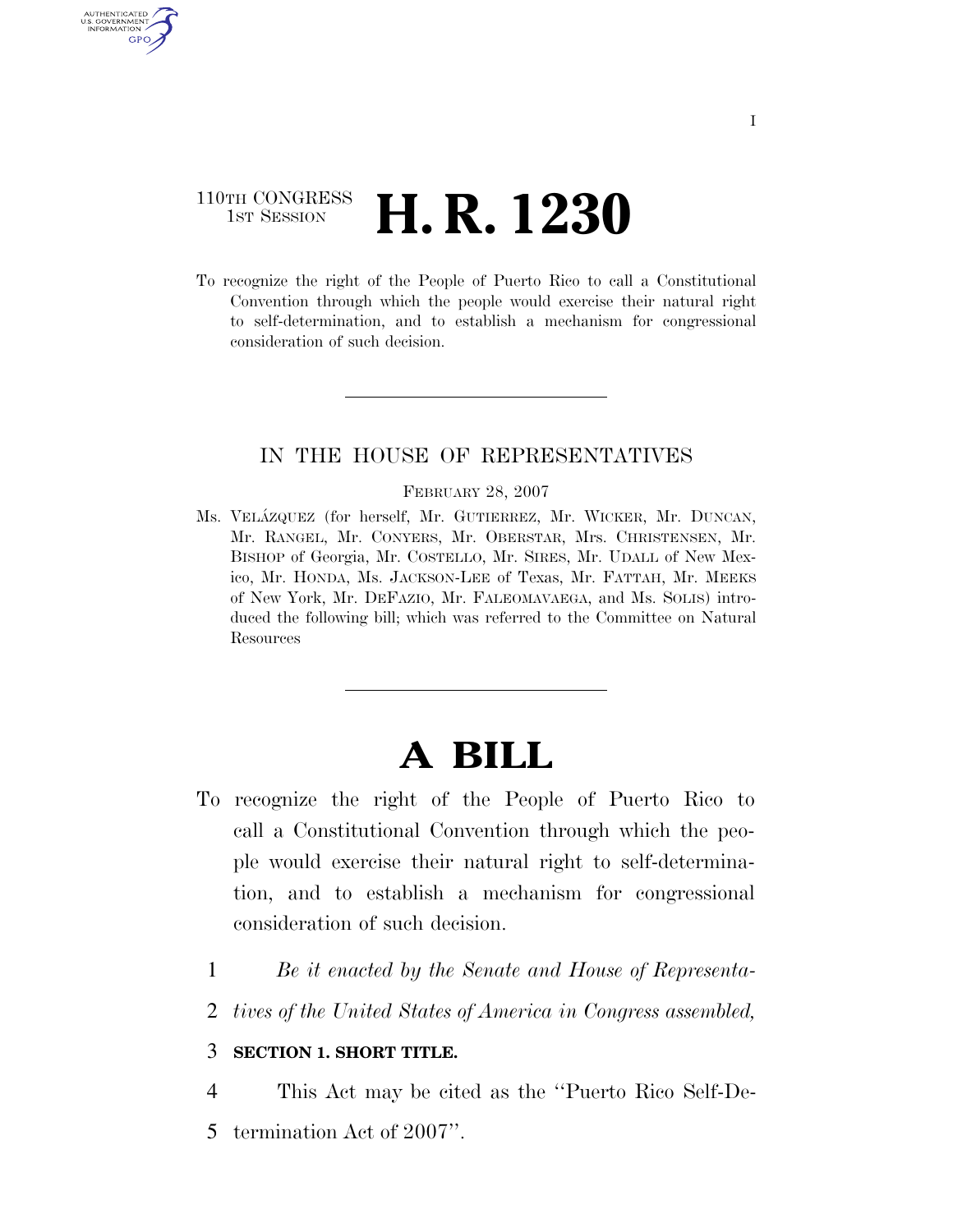## 110TH CONGRESS <sup>TH CONGRESS</sup> **H. R. 1230**

U.S. GOVERNMENT GPO

> To recognize the right of the People of Puerto Rico to call a Constitutional Convention through which the people would exercise their natural right to self-determination, and to establish a mechanism for congressional consideration of such decision.

### IN THE HOUSE OF REPRESENTATIVES

FEBRUARY 28, 2007

Ms. VELA´ZQUEZ (for herself, Mr. GUTIERREZ, Mr. WICKER, Mr. DUNCAN, Mr. RANGEL, Mr. CONYERS, Mr. OBERSTAR, Mrs. CHRISTENSEN, Mr. BISHOP of Georgia, Mr. COSTELLO, Mr. SIRES, Mr. UDALL of New Mexico, Mr. HONDA, Ms. JACKSON-LEE of Texas, Mr. FATTAH, Mr. MEEKS of New York, Mr. DEFAZIO, Mr. FALEOMAVAEGA, and Ms. SOLIS) introduced the following bill; which was referred to the Committee on Natural Resources

# **A BILL**

- To recognize the right of the People of Puerto Rico to call a Constitutional Convention through which the people would exercise their natural right to self-determination, and to establish a mechanism for congressional consideration of such decision.
	- 1 *Be it enacted by the Senate and House of Representa-*
	- 2 *tives of the United States of America in Congress assembled,*

#### 3 **SECTION 1. SHORT TITLE.**

- 4 This Act may be cited as the ''Puerto Rico Self-De-
- 5 termination Act of 2007''.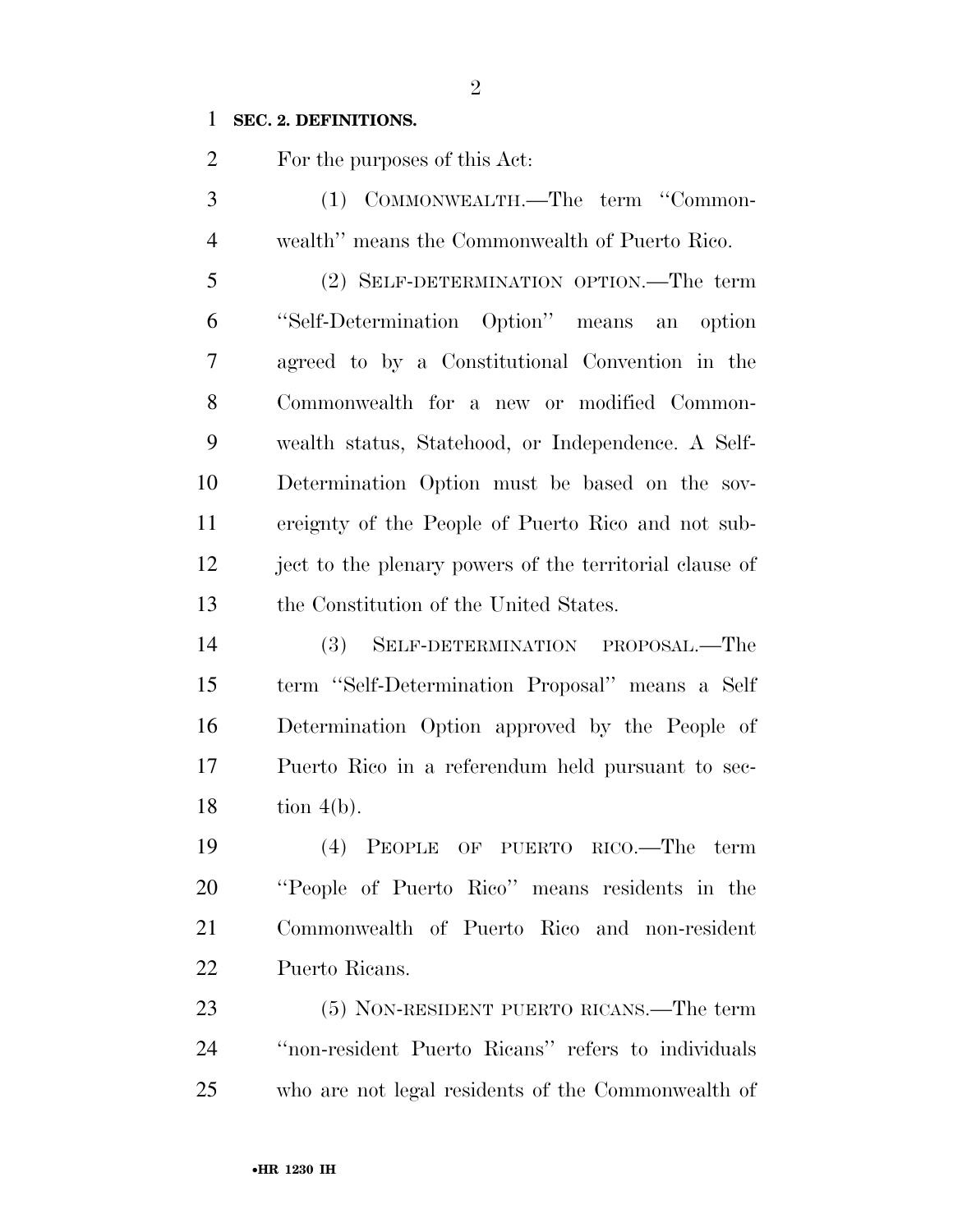#### **SEC. 2. DEFINITIONS.**

For the purposes of this Act:

 (1) COMMONWEALTH.—The term ''Common-wealth'' means the Commonwealth of Puerto Rico.

 (2) SELF-DETERMINATION OPTION.—The term ''Self-Determination Option'' means an option agreed to by a Constitutional Convention in the Commonwealth for a new or modified Common- wealth status, Statehood, or Independence. A Self- Determination Option must be based on the sov- ereignty of the People of Puerto Rico and not sub- ject to the plenary powers of the territorial clause of the Constitution of the United States.

 (3) SELF-DETERMINATION PROPOSAL.—The term ''Self-Determination Proposal'' means a Self Determination Option approved by the People of Puerto Rico in a referendum held pursuant to sec-tion 4(b).

 (4) PEOPLE OF PUERTO RICO.—The term ''People of Puerto Rico'' means residents in the Commonwealth of Puerto Rico and non-resident Puerto Ricans.

 (5) NON-RESIDENT PUERTO RICANS.—The term ''non-resident Puerto Ricans'' refers to individuals who are not legal residents of the Commonwealth of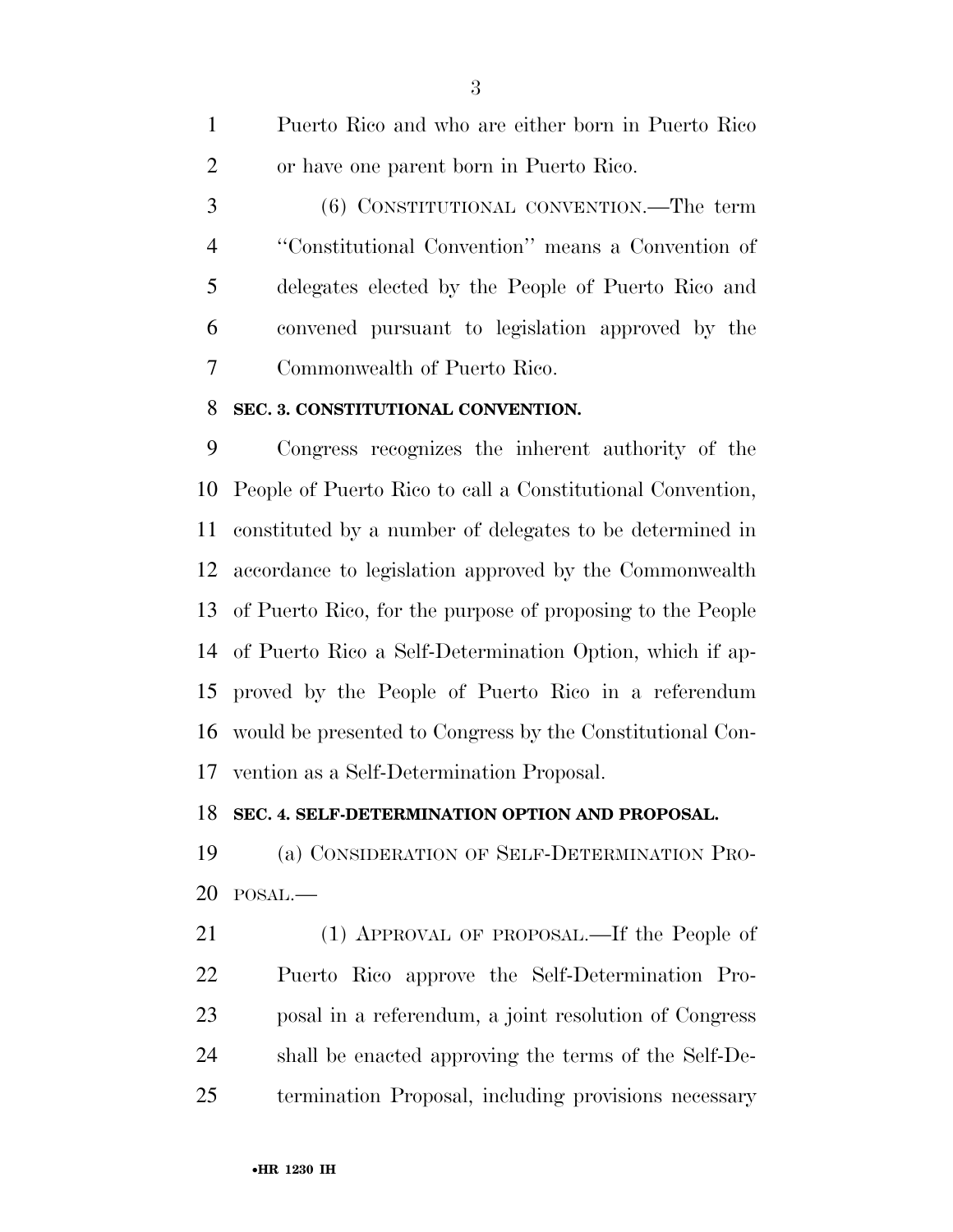Puerto Rico and who are either born in Puerto Rico or have one parent born in Puerto Rico. (6) CONSTITUTIONAL CONVENTION.—The term ''Constitutional Convention'' means a Convention of delegates elected by the People of Puerto Rico and convened pursuant to legislation approved by the Commonwealth of Puerto Rico.

#### **SEC. 3. CONSTITUTIONAL CONVENTION.**

 Congress recognizes the inherent authority of the People of Puerto Rico to call a Constitutional Convention, constituted by a number of delegates to be determined in accordance to legislation approved by the Commonwealth of Puerto Rico, for the purpose of proposing to the People of Puerto Rico a Self-Determination Option, which if ap- proved by the People of Puerto Rico in a referendum would be presented to Congress by the Constitutional Con-vention as a Self-Determination Proposal.

#### **SEC. 4. SELF-DETERMINATION OPTION AND PROPOSAL.**

 (a) CONSIDERATION OF SELF-DETERMINATION PRO-POSAL.—

 (1) APPROVAL OF PROPOSAL.—If the People of Puerto Rico approve the Self-Determination Pro- posal in a referendum, a joint resolution of Congress shall be enacted approving the terms of the Self-De-termination Proposal, including provisions necessary